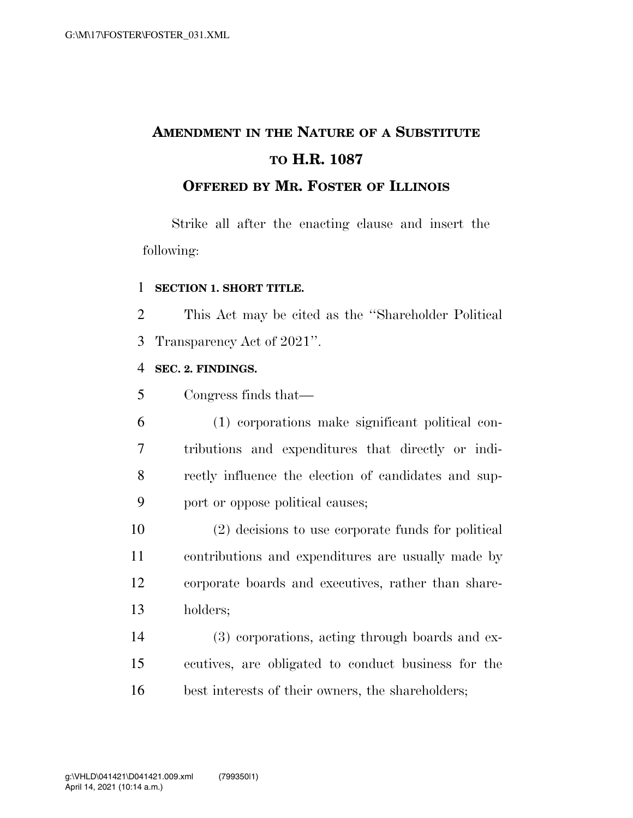# **AMENDMENT IN THE NATURE OF A SUBSTITUTE TO H.R. 1087**

### **OFFERED BY MR. FOSTER OF ILLINOIS**

Strike all after the enacting clause and insert the following:

#### **SECTION 1. SHORT TITLE.**

 This Act may be cited as the ''Shareholder Political Transparency Act of 2021''.

#### **SEC. 2. FINDINGS.**

Congress finds that—

 (1) corporations make significant political con- tributions and expenditures that directly or indi- rectly influence the election of candidates and sup-port or oppose political causes;

 (2) decisions to use corporate funds for political contributions and expenditures are usually made by corporate boards and executives, rather than share-holders;

 (3) corporations, acting through boards and ex- ecutives, are obligated to conduct business for the best interests of their owners, the shareholders;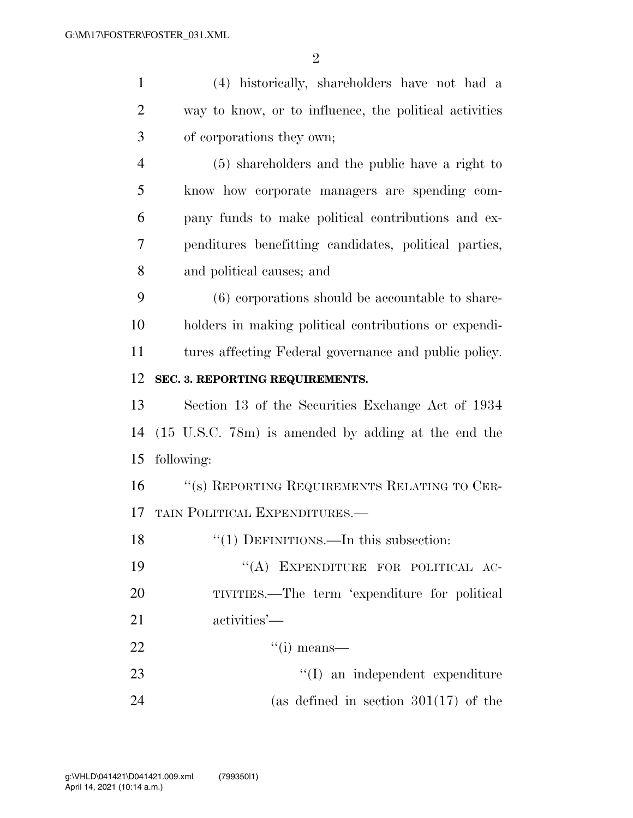| $\mathbf{1}$   | (4) historically, shareholders have not had a             |
|----------------|-----------------------------------------------------------|
| $\overline{2}$ | way to know, or to influence, the political activities    |
| 3              | of corporations they own;                                 |
| $\overline{4}$ | (5) shareholders and the public have a right to           |
| 5              | know how corporate managers are spending com-             |
| 6              | pany funds to make political contributions and ex-        |
| 7              | penditures benefitting candidates, political parties,     |
| 8              | and political causes; and                                 |
| 9              | (6) corporations should be accountable to share-          |
| 10             | holders in making political contributions or expendi-     |
| 11             | tures affecting Federal governance and public policy.     |
| 12             | SEC. 3. REPORTING REQUIREMENTS.                           |
| 13             | Section 13 of the Securities Exchange Act of 1934         |
| 14             | $(15 \t{U.S.C.} 78m)$ is amended by adding at the end the |
| 15             | following:                                                |
| 16             | "(s) REPORTING REQUIREMENTS RELATING TO CER-              |
| 17             | TAIN POLITICAL EXPENDITURES.—                             |
| 18             | " $(1)$ DEFINITIONS.—In this subsection:                  |
| 19             | "(A) EXPENDITURE FOR POLITICAL AC-                        |
| 20             | TIVITIES.—The term 'expenditure for political             |
| 21             | activities'—                                              |
| 22             | $``(i)$ means—                                            |
| 23             | $\lq\lq$ an independent expenditure                       |
| 24             | (as defined in section $301(17)$ of the                   |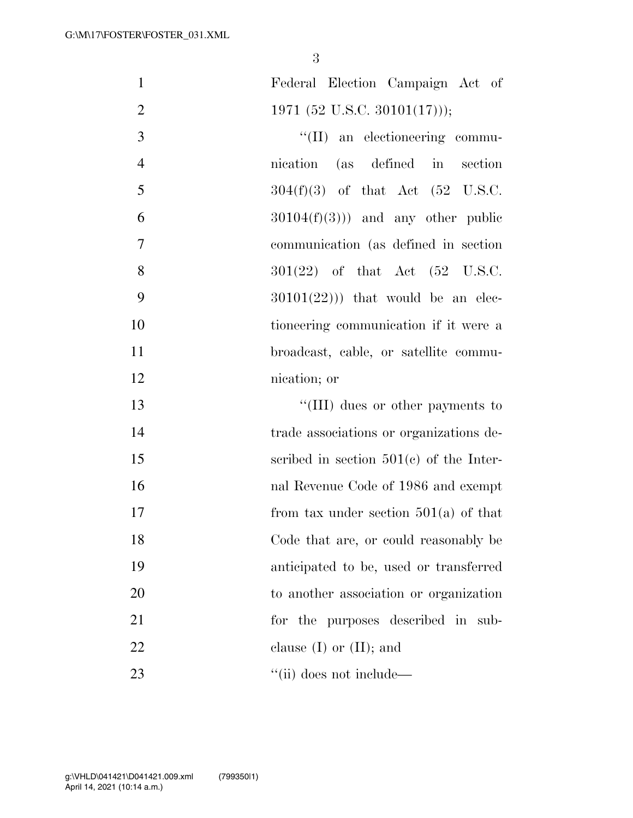| $\mathbf{1}$   | Federal Election Campaign Act of            |
|----------------|---------------------------------------------|
| $\overline{2}$ | 1971 (52 U.S.C. 30101(17)));                |
| 3              | $\lq\lq$ (II) an electioneering commu-      |
| $\overline{4}$ | (as defined in section<br>nication          |
| 5              | $304(f)(3)$ of that Act (52 U.S.C.          |
| 6              | $30104(f)(3))$ and any other public         |
| $\tau$         | communication (as defined in section)       |
| 8              | $301(22)$ of that Act $(52 \text{ U.S.C.})$ |
| 9              | $30101(22))$ that would be an elec-         |
| 10             | tioneering communication if it were a       |
| 11             | broadcast, cable, or satellite commu-       |
| 12             | nication; or                                |
| 13             | $\lq\lq$ (III) dues or other payments to    |
| 14             | trade associations or organizations de-     |
| 15             | scribed in section $501(c)$ of the Inter-   |
| 16             | nal Revenue Code of 1986 and exempt         |
| 17             | from tax under section $501(a)$ of that     |
| 18             | Code that are, or could reasonably be       |
| 19             | anticipated to be, used or transferred      |
| 20             | to another association or organization      |
| 21             | for the purposes described in sub-          |
| 22             | clause $(I)$ or $(II)$ ; and                |
| 23             | $\lq\lq$ (ii) does not include—             |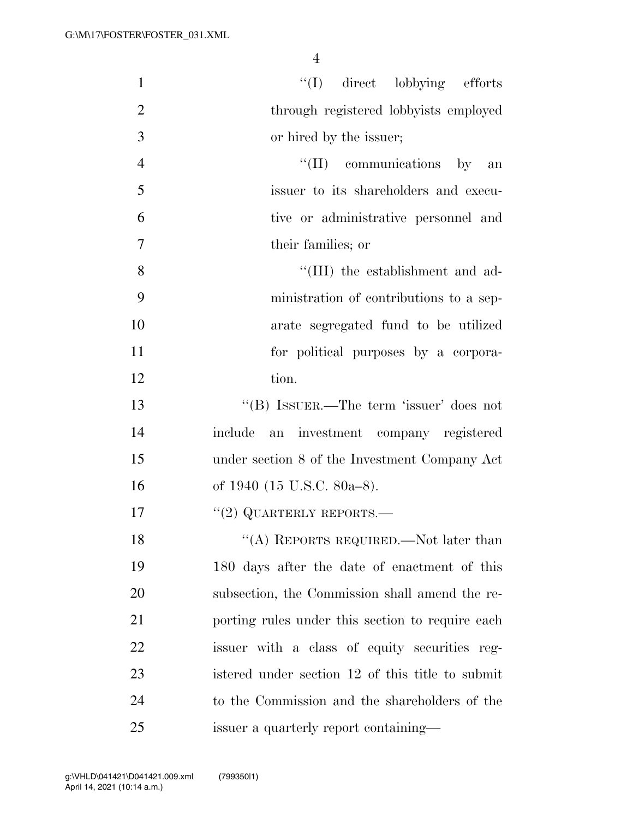| $\mathbf{1}$   | "(I) direct lobbying efforts                     |
|----------------|--------------------------------------------------|
| $\overline{2}$ | through registered lobbyists employed            |
| 3              | or hired by the issuer;                          |
| $\overline{4}$ | $\lq\lq$ (II) communications by an               |
| 5              | issuer to its shareholders and execu-            |
| 6              | tive or administrative personnel and             |
| 7              | their families; or                               |
| 8              | "(III) the establishment and ad-                 |
| 9              | ministration of contributions to a sep-          |
| 10             | arate segregated fund to be utilized             |
| 11             | for political purposes by a corpora-             |
| 12             | tion.                                            |
| 13             | "(B) ISSUER.—The term 'issuer' does not          |
| 14             | include<br>an investment company registered      |
| 15             | under section 8 of the Investment Company Act    |
| 16             | of 1940 (15 U.S.C. 80a–8).                       |
| 17             | $``(2)$ QUARTERLY REPORTS.—                      |
| 18             | "(A) REPORTS REQUIRED.—Not later than            |
| 19             | 180 days after the date of enactment of this     |
| 20             | subsection, the Commission shall amend the re-   |
| 21             | porting rules under this section to require each |
| 22             | issuer with a class of equity securities reg-    |
| 23             | istered under section 12 of this title to submit |
| 24             | to the Commission and the shareholders of the    |
| 25             | issuer a quarterly report containing—            |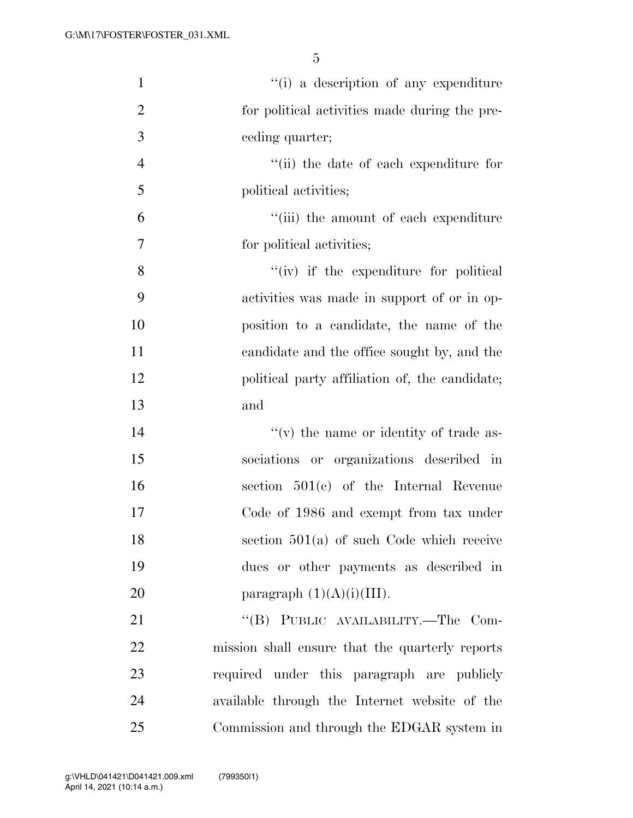| $\mathbf{1}$   | "(i) a description of any expenditure           |
|----------------|-------------------------------------------------|
| $\overline{2}$ | for political activities made during the pre-   |
| 3              | ceding quarter;                                 |
| $\overline{4}$ | "(ii) the date of each expenditure for          |
| 5              | political activities;                           |
| 6              | "(iii) the amount of each expenditure           |
| $\tau$         | for political activities;                       |
| 8              | "(iv) if the expenditure for political          |
| 9              | activities was made in support of or in op-     |
| 10             | position to a candidate, the name of the        |
| 11             | candidate and the office sought by, and the     |
| 12             | political party affiliation of, the candidate;  |
| 13             | and                                             |
| 14             | $f'(v)$ the name or identity of trade as-       |
| 15             | sociations or organizations described in        |
| 16             | section $501(c)$ of the Internal Revenue        |
| 17             | Code of 1986 and exempt from tax under          |
| 18             | section $501(a)$ of such Code which receive     |
| 19             | dues or other payments as described in          |
| 20             | paragraph $(1)(A)(i)(III)$ .                    |
| 21             | "(B) PUBLIC AVAILABILITY.—The Com-              |
| 22             | mission shall ensure that the quarterly reports |
| 23             | required under this paragraph are publicly      |
| 24             | available through the Internet website of the   |
| 25             | Commission and through the EDGAR system in      |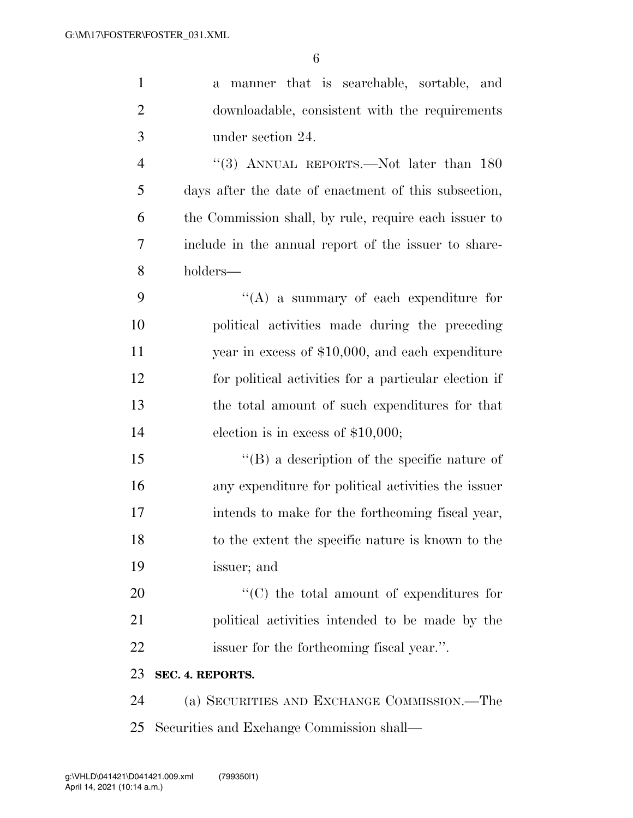| $\mathbf{1}$   | manner that is searchable, sortable, and<br>a         |
|----------------|-------------------------------------------------------|
| $\overline{2}$ | downloadable, consistent with the requirements        |
| 3              | under section 24.                                     |
| $\overline{4}$ | "(3) ANNUAL REPORTS.—Not later than $180$             |
| 5              | days after the date of enactment of this subsection,  |
| 6              | the Commission shall, by rule, require each issuer to |
| 7              | include in the annual report of the issuer to share-  |
| 8              | holders—                                              |
| 9              | $\lq\lq$ a summary of each expenditure for            |
| 10             | political activities made during the preceding        |
| 11             | year in excess of $$10,000$ , and each expenditure    |
| 12             | for political activities for a particular election if |
| 13             | the total amount of such expenditures for that        |
| 14             | election is in excess of $$10,000;$                   |
| 15             | $\lq\lq (B)$ a description of the specific nature of  |
| 16             | any expenditure for political activities the issuer   |
| 17             | intends to make for the forthcoming fiscal year,      |
| 18             | to the extent the specific nature is known to the     |
| 19             | issuer; and                                           |
| 20             | $\lq\lq$ (C) the total amount of expenditures for     |
| 21             | political activities intended to be made by the       |
| 22             | issuer for the forthcoming fiscal year.".             |
| 23             | SEC. 4. REPORTS.                                      |
| 24             | (a) SECURITIES AND EXCHANGE COMMISSION.—The           |
| 25             | Securities and Exchange Commission shall—             |